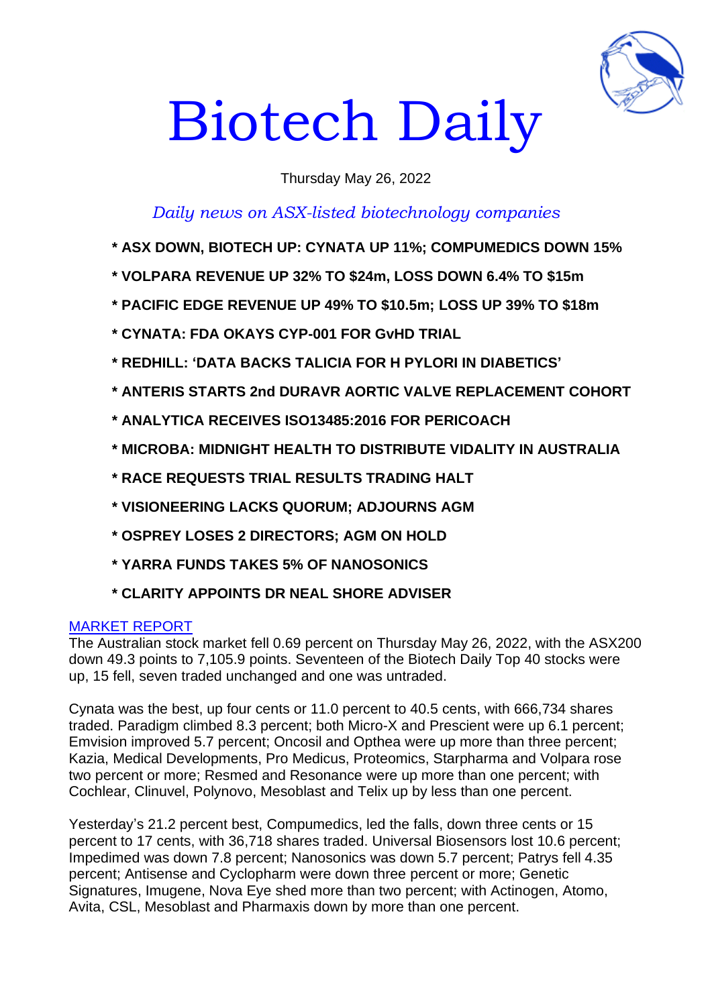

# Biotech Daily

## Thursday May 26, 2022

# *Daily news on ASX-listed biotechnology companies*

- **\* ASX DOWN, BIOTECH UP: CYNATA UP 11%; COMPUMEDICS DOWN 15%**
- **\* VOLPARA REVENUE UP 32% TO \$24m, LOSS DOWN 6.4% TO \$15m**
- **\* PACIFIC EDGE REVENUE UP 49% TO \$10.5m; LOSS UP 39% TO \$18m**
- **\* CYNATA: FDA OKAYS CYP-001 FOR GvHD TRIAL**
- **\* REDHILL: 'DATA BACKS TALICIA FOR H PYLORI IN DIABETICS'**
- **\* ANTERIS STARTS 2nd DURAVR AORTIC VALVE REPLACEMENT COHORT**
- **\* ANALYTICA RECEIVES ISO13485:2016 FOR PERICOACH**
- **\* MICROBA: MIDNIGHT HEALTH TO DISTRIBUTE VIDALITY IN AUSTRALIA**
- **\* RACE REQUESTS TRIAL RESULTS TRADING HALT**
- **\* VISIONEERING LACKS QUORUM; ADJOURNS AGM**
- **\* OSPREY LOSES 2 DIRECTORS; AGM ON HOLD**
- **\* YARRA FUNDS TAKES 5% OF NANOSONICS**
- **\* CLARITY APPOINTS DR NEAL SHORE ADVISER**

#### MARKET REPORT

The Australian stock market fell 0.69 percent on Thursday May 26, 2022, with the ASX200 down 49.3 points to 7,105.9 points. Seventeen of the Biotech Daily Top 40 stocks were up, 15 fell, seven traded unchanged and one was untraded.

Cynata was the best, up four cents or 11.0 percent to 40.5 cents, with 666,734 shares traded. Paradigm climbed 8.3 percent; both Micro-X and Prescient were up 6.1 percent; Emvision improved 5.7 percent; Oncosil and Opthea were up more than three percent; Kazia, Medical Developments, Pro Medicus, Proteomics, Starpharma and Volpara rose two percent or more; Resmed and Resonance were up more than one percent; with Cochlear, Clinuvel, Polynovo, Mesoblast and Telix up by less than one percent.

Yesterday's 21.2 percent best, Compumedics, led the falls, down three cents or 15 percent to 17 cents, with 36,718 shares traded. Universal Biosensors lost 10.6 percent; Impedimed was down 7.8 percent; Nanosonics was down 5.7 percent; Patrys fell 4.35 percent; Antisense and Cyclopharm were down three percent or more; Genetic Signatures, Imugene, Nova Eye shed more than two percent; with Actinogen, Atomo, Avita, CSL, Mesoblast and Pharmaxis down by more than one percent.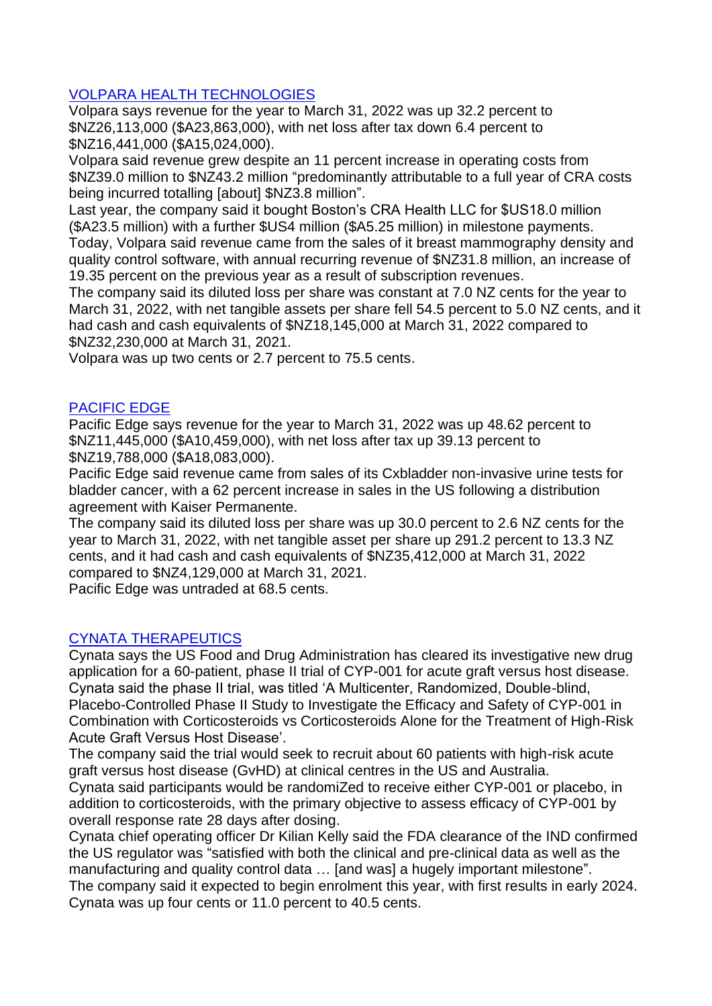## VOLPARA HEALTH TECHNOLOGIES

Volpara says revenue for the year to March 31, 2022 was up 32.2 percent to \$NZ26,113,000 (\$A23,863,000), with net loss after tax down 6.4 percent to \$NZ16,441,000 (\$A15,024,000).

Volpara said revenue grew despite an 11 percent increase in operating costs from \$NZ39.0 million to \$NZ43.2 million "predominantly attributable to a full year of CRA costs being incurred totalling [about] \$NZ3.8 million".

Last year, the company said it bought Boston's CRA Health LLC for \$US18.0 million (\$A23.5 million) with a further \$US4 million (\$A5.25 million) in milestone payments. Today, Volpara said revenue came from the sales of it breast mammography density and quality control software, with annual recurring revenue of \$NZ31.8 million, an increase of 19.35 percent on the previous year as a result of subscription revenues.

The company said its diluted loss per share was constant at 7.0 NZ cents for the year to March 31, 2022, with net tangible assets per share fell 54.5 percent to 5.0 NZ cents, and it had cash and cash equivalents of \$NZ18,145,000 at March 31, 2022 compared to \$NZ32,230,000 at March 31, 2021.

Volpara was up two cents or 2.7 percent to 75.5 cents.

## PACIFIC EDGE

Pacific Edge says revenue for the year to March 31, 2022 was up 48.62 percent to \$NZ11,445,000 (\$A10,459,000), with net loss after tax up 39.13 percent to \$NZ19,788,000 (\$A18,083,000).

Pacific Edge said revenue came from sales of its Cxbladder non-invasive urine tests for bladder cancer, with a 62 percent increase in sales in the US following a distribution agreement with Kaiser Permanente.

The company said its diluted loss per share was up 30.0 percent to 2.6 NZ cents for the year to March 31, 2022, with net tangible asset per share up 291.2 percent to 13.3 NZ cents, and it had cash and cash equivalents of \$NZ35,412,000 at March 31, 2022 compared to \$NZ4,129,000 at March 31, 2021.

Pacific Edge was untraded at 68.5 cents.

## CYNATA THERAPEUTICS

Cynata says the US Food and Drug Administration has cleared its investigative new drug application for a 60-patient, phase II trial of CYP-001 for acute graft versus host disease. Cynata said the phase II trial, was titled 'A Multicenter, Randomized, Double-blind, Placebo-Controlled Phase II Study to Investigate the Efficacy and Safety of CYP-001 in Combination with Corticosteroids vs Corticosteroids Alone for the Treatment of High-Risk Acute Graft Versus Host Disease'.

The company said the trial would seek to recruit about 60 patients with high-risk acute graft versus host disease (GvHD) at clinical centres in the US and Australia.

Cynata said participants would be randomiZed to receive either CYP-001 or placebo, in addition to corticosteroids, with the primary objective to assess efficacy of CYP-001 by overall response rate 28 days after dosing.

Cynata chief operating officer Dr Kilian Kelly said the FDA clearance of the IND confirmed the US regulator was "satisfied with both the clinical and pre-clinical data as well as the manufacturing and quality control data … [and was] a hugely important milestone".

The company said it expected to begin enrolment this year, with first results in early 2024. Cynata was up four cents or 11.0 percent to 40.5 cents.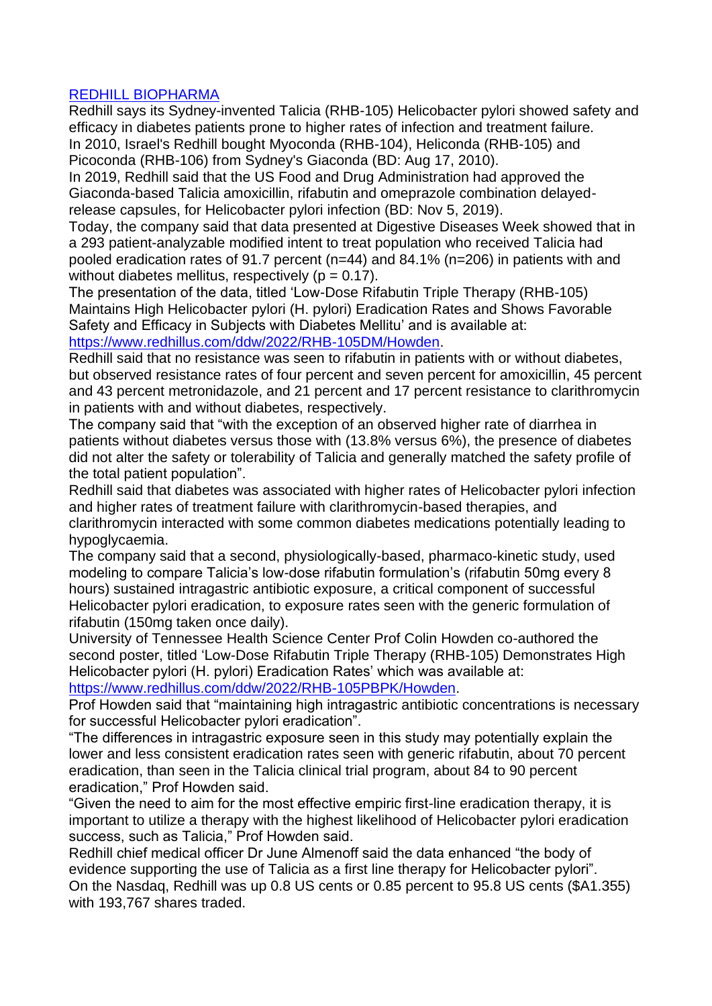## REDHILL BIOPHARMA

Redhill says its Sydney-invented Talicia (RHB-105) Helicobacter pylori showed safety and efficacy in diabetes patients prone to higher rates of infection and treatment failure. In 2010, Israel's Redhill bought Myoconda (RHB-104), Heliconda (RHB-105) and Picoconda (RHB-106) from Sydney's Giaconda (BD: Aug 17, 2010).

In 2019, Redhill said that the US Food and Drug Administration had approved the Giaconda-based Talicia amoxicillin, rifabutin and omeprazole combination delayedrelease capsules, for Helicobacter pylori infection (BD: Nov 5, 2019).

Today, the company said that data presented at Digestive Diseases Week showed that in a 293 patient-analyzable modified intent to treat population who received Talicia had pooled eradication rates of 91.7 percent (n=44) and 84.1% (n=206) in patients with and without diabetes mellitus, respectively ( $p = 0.17$ ).

The presentation of the data, titled 'Low-Dose Rifabutin Triple Therapy (RHB-105) Maintains High Helicobacter pylori (H. pylori) Eradication Rates and Shows Favorable Safety and Efficacy in Subjects with Diabetes Mellitu' and is available at: [https://www.redhillus.com/ddw/2022/RHB-105DM/Howden.](https://www.redhillus.com/ddw/2022/RHB-105DM/Howden)

Redhill said that no resistance was seen to rifabutin in patients with or without diabetes, but observed resistance rates of four percent and seven percent for amoxicillin, 45 percent and 43 percent metronidazole, and 21 percent and 17 percent resistance to clarithromycin in patients with and without diabetes, respectively.

The company said that "with the exception of an observed higher rate of diarrhea in patients without diabetes versus those with (13.8% versus 6%), the presence of diabetes did not alter the safety or tolerability of Talicia and generally matched the safety profile of the total patient population".

Redhill said that diabetes was associated with higher rates of Helicobacter pylori infection and higher rates of treatment failure with clarithromycin-based therapies, and clarithromycin interacted with some common diabetes medications potentially leading to hypoglycaemia.

The company said that a second, physiologically-based, pharmaco-kinetic study, used modeling to compare Talicia's low-dose rifabutin formulation's (rifabutin 50mg every 8 hours) sustained intragastric antibiotic exposure, a critical component of successful Helicobacter pylori eradication, to exposure rates seen with the generic formulation of rifabutin (150mg taken once daily).

University of Tennessee Health Science Center Prof Colin Howden co-authored the second poster, titled 'Low-Dose Rifabutin Triple Therapy (RHB-105) Demonstrates High Helicobacter pylori (H. pylori) Eradication Rates' which was available at: [https://www.redhillus.com/ddw/2022/RHB-105PBPK/Howden.](https://www.redhillus.com/ddw/2022/RHB-105PBPK/Howden)

Prof Howden said that "maintaining high intragastric antibiotic concentrations is necessary for successful Helicobacter pylori eradication".

"The differences in intragastric exposure seen in this study may potentially explain the lower and less consistent eradication rates seen with generic rifabutin, about 70 percent eradication, than seen in the Talicia clinical trial program, about 84 to 90 percent eradication," Prof Howden said.

"Given the need to aim for the most effective empiric first-line eradication therapy, it is important to utilize a therapy with the highest likelihood of Helicobacter pylori eradication success, such as Talicia," Prof Howden said.

Redhill chief medical officer Dr June Almenoff said the data enhanced "the body of evidence supporting the use of Talicia as a first line therapy for Helicobacter pylori". On the Nasdaq, Redhill was up 0.8 US cents or 0.85 percent to 95.8 US cents (\$A1.355) with 193,767 shares traded.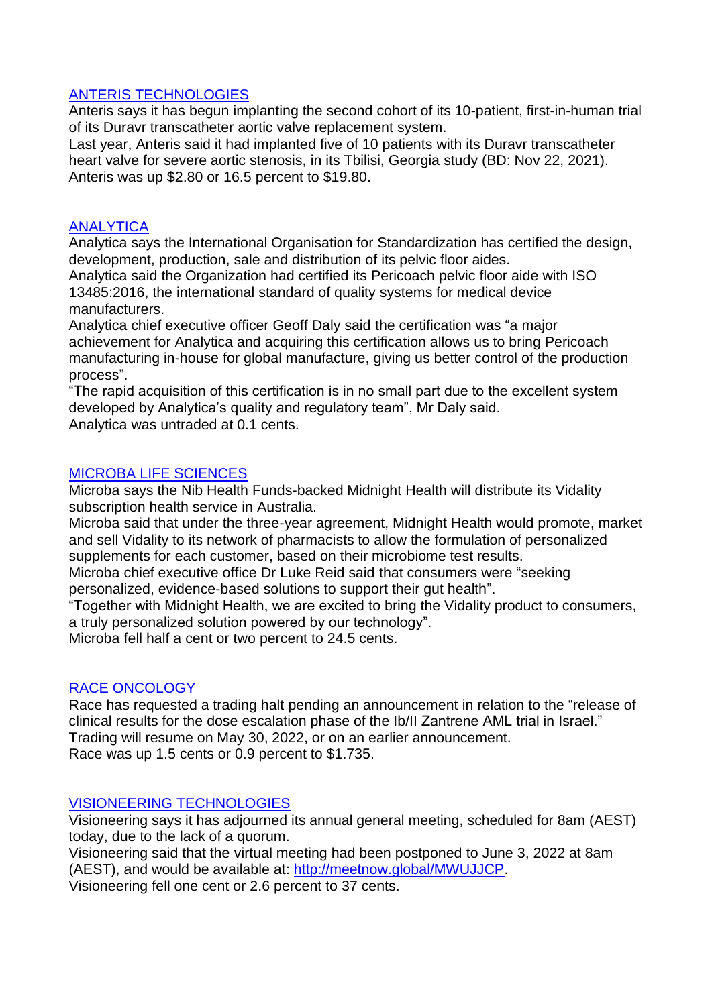## ANTERIS TECHNOLOGIES

Anteris says it has begun implanting the second cohort of its 10-patient, first-in-human trial of its Duravr transcatheter aortic valve replacement system.

Last year, Anteris said it had implanted five of 10 patients with its Duravr transcatheter heart valve for severe aortic stenosis, in its Tbilisi, Georgia study (BD: Nov 22, 2021). Anteris was up \$2.80 or 16.5 percent to \$19.80.

#### **ANALYTICA**

Analytica says the International Organisation for Standardization has certified the design, development, production, sale and distribution of its pelvic floor aides.

Analytica said the Organization had certified its Pericoach pelvic floor aide with ISO 13485:2016, the international standard of quality systems for medical device manufacturers.

Analytica chief executive officer Geoff Daly said the certification was "a major achievement for Analytica and acquiring this certification allows us to bring Pericoach manufacturing in-house for global manufacture, giving us better control of the production process".

"The rapid acquisition of this certification is in no small part due to the excellent system developed by Analytica's quality and regulatory team", Mr Daly said.

Analytica was untraded at 0.1 cents.

## MICROBA LIFE SCIENCES

Microba says the Nib Health Funds-backed Midnight Health will distribute its Vidality subscription health service in Australia.

Microba said that under the three-year agreement, Midnight Health would promote, market and sell Vidality to its network of pharmacists to allow the formulation of personalized supplements for each customer, based on their microbiome test results.

Microba chief executive office Dr Luke Reid said that consumers were "seeking personalized, evidence-based solutions to support their gut health".

"Together with Midnight Health, we are excited to bring the Vidality product to consumers, a truly personalized solution powered by our technology".

Microba fell half a cent or two percent to 24.5 cents.

#### RACE ONCOLOGY

Race has requested a trading halt pending an announcement in relation to the "release of clinical results for the dose escalation phase of the Ib/II Zantrene AML trial in Israel." Trading will resume on May 30, 2022, or on an earlier announcement. Race was up 1.5 cents or 0.9 percent to \$1.735.

#### VISIONEERING TECHNOLOGIES

Visioneering says it has adjourned its annual general meeting, scheduled for 8am (AEST) today, due to the lack of a quorum.

Visioneering said that the virtual meeting had been postponed to June 3, 2022 at 8am (AEST), and would be available at: [http://meetnow.global/MWUJJCP.](http://meetnow.global/MWUJJCP)

Visioneering fell one cent or 2.6 percent to 37 cents.